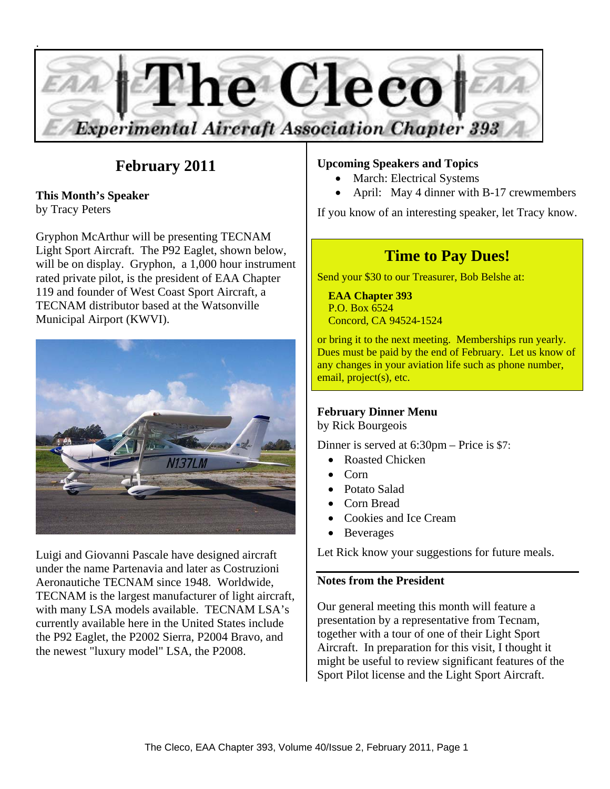

# **February 2011**

**This Month's Speaker**  by Tracy Peters

Gryphon McArthur will be presenting TECNAM Light Sport Aircraft. The P92 Eaglet, shown below, will be on display. Gryphon, a 1,000 hour instrument rated private pilot, is the president of EAA Chapter 119 and founder of West Coast Sport Aircraft, a TECNAM distributor based at the Watsonville Municipal Airport (KWVI).



Luigi and Giovanni Pascale have designed aircraft under the name Partenavia and later as Costruzioni Aeronautiche TECNAM since 1948. Worldwide, TECNAM is the largest manufacturer of light aircraft, with many LSA models available. TECNAM LSA's currently available here in the United States include the P92 Eaglet, the P2002 Sierra, P2004 Bravo, and the newest "luxury model" LSA, the P2008.

#### **Upcoming Speakers and Topics**

- March: Electrical Systems
- April: May 4 dinner with B-17 crewmembers

If you know of an interesting speaker, let Tracy know.

## **Time to Pay Dues!**

Send your \$30 to our Treasurer, Bob Belshe at:

 **EAA Chapter 393**  P.O. Box 6524 Concord, CA 94524-1524

or bring it to the next meeting. Memberships run yearly. Dues must be paid by the end of February. Let us know of any changes in your aviation life such as phone number, email, project(s), etc.

#### **February Dinner Menu**

by Rick Bourgeois

Dinner is served at 6:30pm – Price is \$7:

- Roasted Chicken
- $\bullet$  Corn
- Potato Salad
- Corn Bread
- Cookies and Ice Cream
- **Beverages**

Let Rick know your suggestions for future meals.

#### **Notes from the President**

Our general meeting this month will feature a presentation by a representative from Tecnam, together with a tour of one of their Light Sport Aircraft. In preparation for this visit, I thought it might be useful to review significant features of the Sport Pilot license and the Light Sport Aircraft.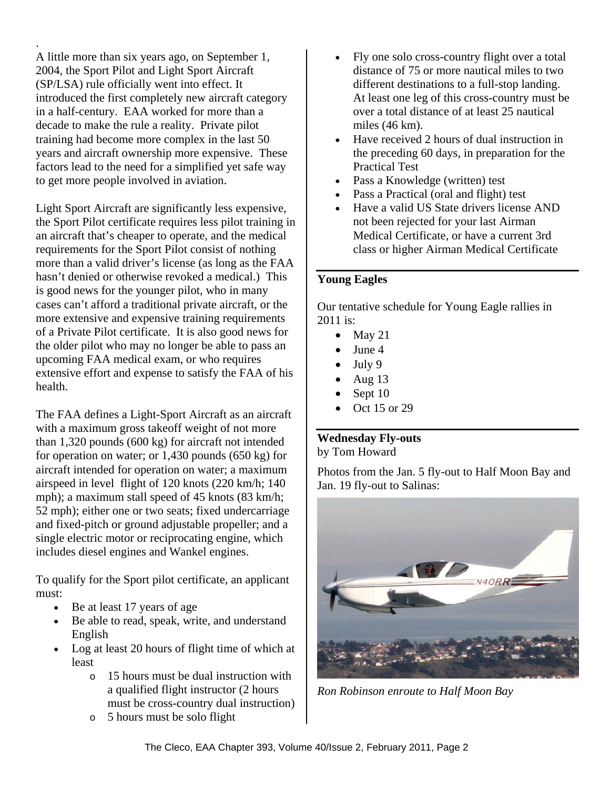A little more than six years ago, on September 1, 2004, the Sport Pilot and Light Sport Aircraft (SP/LSA) rule officially went into effect. It introduced the first completely new aircraft category in a half-century. EAA worked for more than a decade to make the rule a reality. Private pilot training had become more complex in the last 50 years and aircraft ownership more expensive. These factors lead to the need for a simplified yet safe way to get more people involved in aviation.

.

Light Sport Aircraft are significantly less expensive, the Sport Pilot certificate requires less pilot training in an aircraft that's cheaper to operate, and the medical requirements for the Sport Pilot consist of nothing more than a valid driver's license (as long as the FAA hasn't denied or otherwise revoked a medical.) This is good news for the younger pilot, who in many cases can't afford a traditional private aircraft, or the more extensive and expensive training requirements of a Private Pilot certificate. It is also good news for the older pilot who may no longer be able to pass an upcoming FAA medical exam, or who requires extensive effort and expense to satisfy the FAA of his health.

The FAA defines a Light-Sport Aircraft as an aircraft with a maximum gross takeoff weight of not more than 1,320 pounds (600 kg) for aircraft not intended for operation on water; or 1,430 pounds (650 kg) for aircraft intended for operation on water; a maximum airspeed in level flight of 120 knots (220 km/h; 140 mph); a maximum stall speed of 45 knots (83 km/h; 52 mph); either one or two seats; fixed undercarriage and fixed-pitch or ground adjustable propeller; and a single electric motor or reciprocating engine, which includes diesel engines and Wankel engines.

To qualify for the Sport pilot certificate, an applicant must:

- Be at least 17 years of age
- Be able to read, speak, write, and understand English
- Log at least 20 hours of flight time of which at least
	- o 15 hours must be dual instruction with a qualified flight instructor (2 hours must be cross-country dual instruction)
	- o 5 hours must be solo flight
- Fly one solo cross-country flight over a total distance of 75 or more nautical miles to two different destinations to a full-stop landing. At least one leg of this cross-country must be over a total distance of at least 25 nautical miles (46 km).
- Have received 2 hours of dual instruction in the preceding 60 days, in preparation for the Practical Test
- Pass a Knowledge (written) test
- Pass a Practical (oral and flight) test
- Have a valid US State drivers license AND not been rejected for your last Airman Medical Certificate, or have a current 3rd class or higher Airman Medical Certificate

#### **Young Eagles**

Our tentative schedule for Young Eagle rallies in 2011 is:

- $\bullet$  May 21
- $\bullet$  June 4
- $\bullet$  July 9
- $\bullet$  Aug 13
- Sept 10
- $\bullet$  Oct 15 or 29

## **Wednesday Fly-outs**

by Tom Howard

Photos from the Jan. 5 fly-out to Half Moon Bay and Jan. 19 fly-out to Salinas:



*Ron Robinson enroute to Half Moon Bay*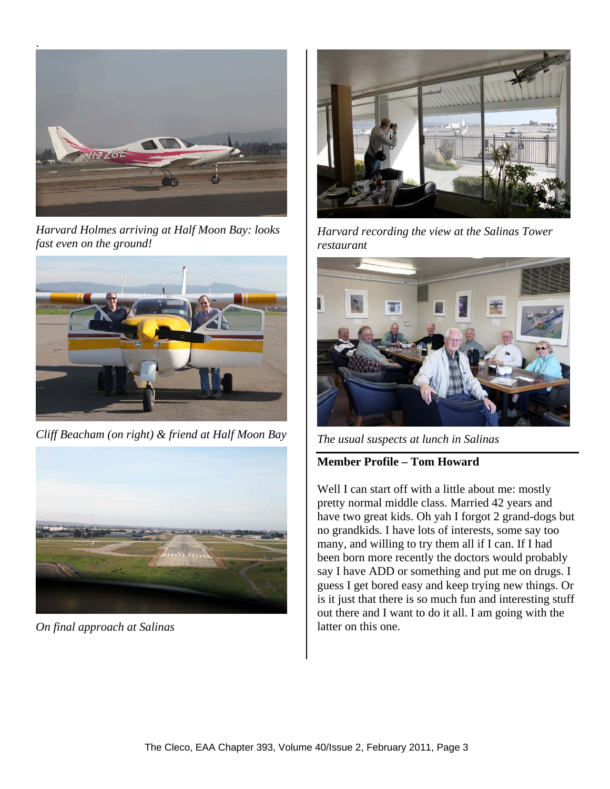

*Harvard Holmes arriving at Half Moon Bay: looks fast even on the ground!* 



*Cliff Beacham (on right) & friend at Half Moon Bay* 



*On final approach at Salinas* 



*Harvard recording the view at the Salinas Tower restaurant* 



*The usual suspects at lunch in Salinas* 

## **Member Profile – Tom Howard**

Well I can start off with a little about me: mostly pretty normal middle class. Married 42 years and have two great kids. Oh yah I forgot 2 grand-dogs but no grandkids. I have lots of interests, some say too many, and willing to try them all if I can. If I had been born more recently the doctors would probably say I have ADD or something and put me on drugs. I guess I get bored easy and keep trying new things. Or is it just that there is so much fun and interesting stuff out there and I want to do it all. I am going with the latter on this one.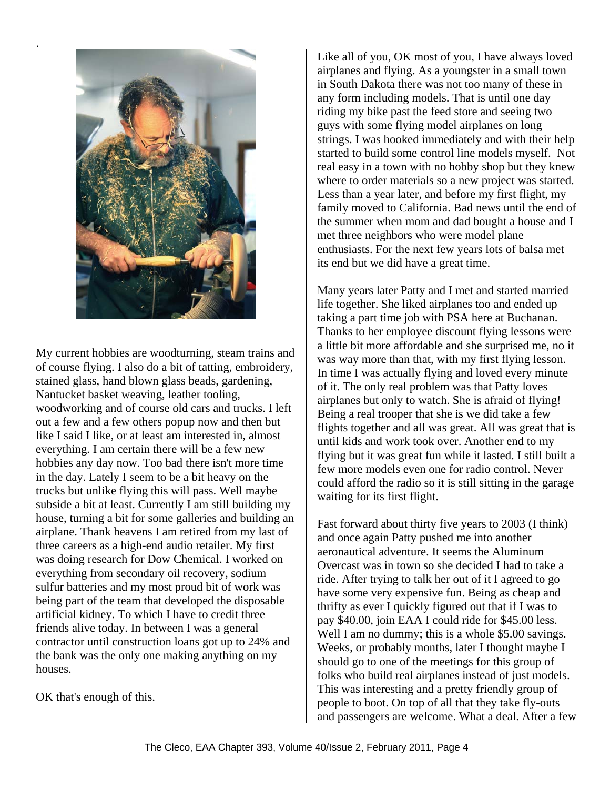

.

My current hobbies are woodturning, steam trains and of course flying. I also do a bit of tatting, embroidery, stained glass, hand blown glass beads, gardening, Nantucket basket weaving, leather tooling, woodworking and of course old cars and trucks. I left out a few and a few others popup now and then but like I said I like, or at least am interested in, almost everything. I am certain there will be a few new hobbies any day now. Too bad there isn't more time in the day. Lately I seem to be a bit heavy on the trucks but unlike flying this will pass. Well maybe subside a bit at least. Currently I am still building my house, turning a bit for some galleries and building an airplane. Thank heavens I am retired from my last of three careers as a high-end audio retailer. My first was doing research for Dow Chemical. I worked on everything from secondary oil recovery, sodium sulfur batteries and my most proud bit of work was being part of the team that developed the disposable artificial kidney. To which I have to credit three friends alive today. In between I was a general contractor until construction loans got up to 24% and the bank was the only one making anything on my houses.

OK that's enough of this.

Like all of you, OK most of you, I have always loved airplanes and flying. As a youngster in a small town in South Dakota there was not too many of these in any form including models. That is until one day riding my bike past the feed store and seeing two guys with some flying model airplanes on long strings. I was hooked immediately and with their help started to build some control line models myself. Not real easy in a town with no hobby shop but they knew where to order materials so a new project was started. Less than a year later, and before my first flight, my family moved to California. Bad news until the end of the summer when mom and dad bought a house and I met three neighbors who were model plane enthusiasts. For the next few years lots of balsa met its end but we did have a great time.

Many years later Patty and I met and started married life together. She liked airplanes too and ended up taking a part time job with PSA here at Buchanan. Thanks to her employee discount flying lessons were a little bit more affordable and she surprised me, no it was way more than that, with my first flying lesson. In time I was actually flying and loved every minute of it. The only real problem was that Patty loves airplanes but only to watch. She is afraid of flying! Being a real trooper that she is we did take a few flights together and all was great. All was great that is until kids and work took over. Another end to my flying but it was great fun while it lasted. I still built a few more models even one for radio control. Never could afford the radio so it is still sitting in the garage waiting for its first flight.

Fast forward about thirty five years to 2003 (I think) and once again Patty pushed me into another aeronautical adventure. It seems the Aluminum Overcast was in town so she decided I had to take a ride. After trying to talk her out of it I agreed to go have some very expensive fun. Being as cheap and thrifty as ever I quickly figured out that if I was to pay \$40.00, join EAA I could ride for \$45.00 less. Well I am no dummy; this is a whole \$5.00 savings. Weeks, or probably months, later I thought maybe I should go to one of the meetings for this group of folks who build real airplanes instead of just models. This was interesting and a pretty friendly group of people to boot. On top of all that they take fly-outs and passengers are welcome. What a deal. After a few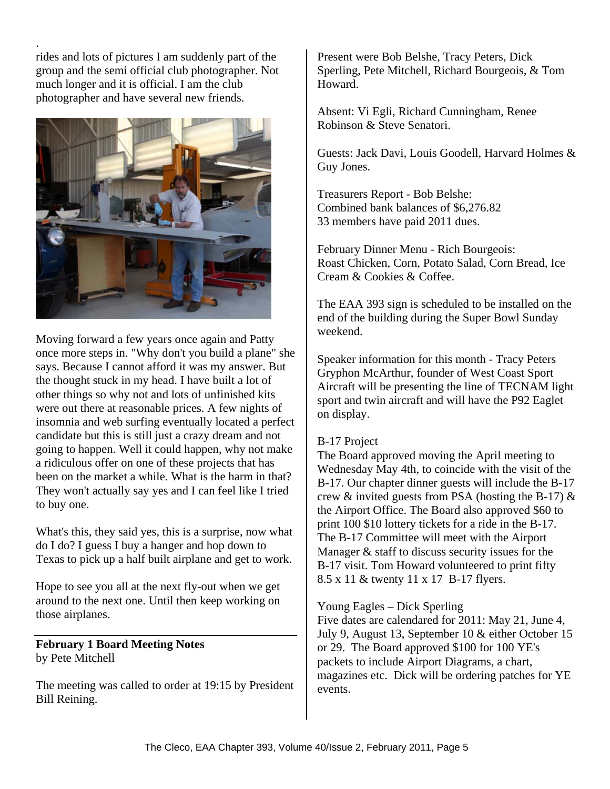. rides and lots of pictures I am suddenly part of the group and the semi official club photographer. Not much longer and it is official. I am the club photographer and have several new friends.



Moving forward a few years once again and Patty once more steps in. "Why don't you build a plane" she says. Because I cannot afford it was my answer. But the thought stuck in my head. I have built a lot of other things so why not and lots of unfinished kits were out there at reasonable prices. A few nights of insomnia and web surfing eventually located a perfect candidate but this is still just a crazy dream and not going to happen. Well it could happen, why not make a ridiculous offer on one of these projects that has been on the market a while. What is the harm in that? They won't actually say yes and I can feel like I tried to buy one.

What's this, they said yes, this is a surprise, now what do I do? I guess I buy a hanger and hop down to Texas to pick up a half built airplane and get to work.

Hope to see you all at the next fly-out when we get around to the next one. Until then keep working on those airplanes.

**February 1 Board Meeting Notes**  by Pete Mitchell

The meeting was called to order at 19:15 by President Bill Reining.

Present were Bob Belshe, Tracy Peters, Dick Sperling, Pete Mitchell, Richard Bourgeois, & Tom Howard.

Absent: Vi Egli, Richard Cunningham, Renee Robinson & Steve Senatori.

Guests: Jack Davi, Louis Goodell, Harvard Holmes & Guy Jones.

Treasurers Report - Bob Belshe: Combined bank balances of \$6,276.82 33 members have paid 2011 dues.

February Dinner Menu - Rich Bourgeois: Roast Chicken, Corn, Potato Salad, Corn Bread, Ice Cream & Cookies & Coffee.

The EAA 393 sign is scheduled to be installed on the end of the building during the Super Bowl Sunday weekend.

Speaker information for this month - Tracy Peters Gryphon McArthur, founder of West Coast Sport Aircraft will be presenting the line of TECNAM light sport and twin aircraft and will have the P92 Eaglet on display.

### B-17 Project

The Board approved moving the April meeting to Wednesday May 4th, to coincide with the visit of the B-17. Our chapter dinner guests will include the B-17 crew  $\&$  invited guests from PSA (hosting the B-17)  $\&$ the Airport Office. The Board also approved \$60 to print 100 \$10 lottery tickets for a ride in the B-17. The B-17 Committee will meet with the Airport Manager & staff to discuss security issues for the B-17 visit. Tom Howard volunteered to print fifty 8.5 x 11 & twenty 11 x 17 B-17 flyers.

Young Eagles – Dick Sperling

Five dates are calendared for 2011: May 21, June 4, July 9, August 13, September 10 & either October 15 or 29. The Board approved \$100 for 100 YE's packets to include Airport Diagrams, a chart, magazines etc. Dick will be ordering patches for YE events.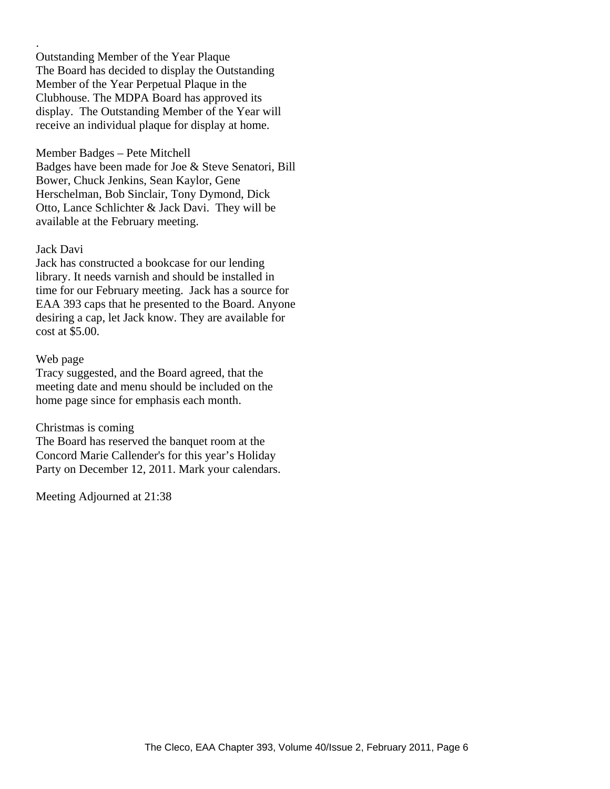Outstanding Member of the Year Plaque The Board has decided to display the Outstanding Member of the Year Perpetual Plaque in the Clubhouse. The MDPA Board has approved its display. The Outstanding Member of the Year will receive an individual plaque for display at home.

#### Member Badges – Pete Mitchell

Badges have been made for Joe & Steve Senatori, Bill Bower, Chuck Jenkins, Sean Kaylor, Gene Herschelman, Bob Sinclair, Tony Dymond, Dick Otto, Lance Schlichter & Jack Davi. They will be available at the February meeting.

#### Jack Davi

.

Jack has constructed a bookcase for our lending library. It needs varnish and should be installed in time for our February meeting. Jack has a source for EAA 393 caps that he presented to the Board. Anyone desiring a cap, let Jack know. They are available for cost at \$5.00.

#### Web page

Tracy suggested, and the Board agreed, that the meeting date and menu should be included on the home page since for emphasis each month.

#### Christmas is coming

The Board has reserved the banquet room at the Concord Marie Callender's for this year's Holiday Party on December 12, 2011. Mark your calendars.

Meeting Adjourned at 21:38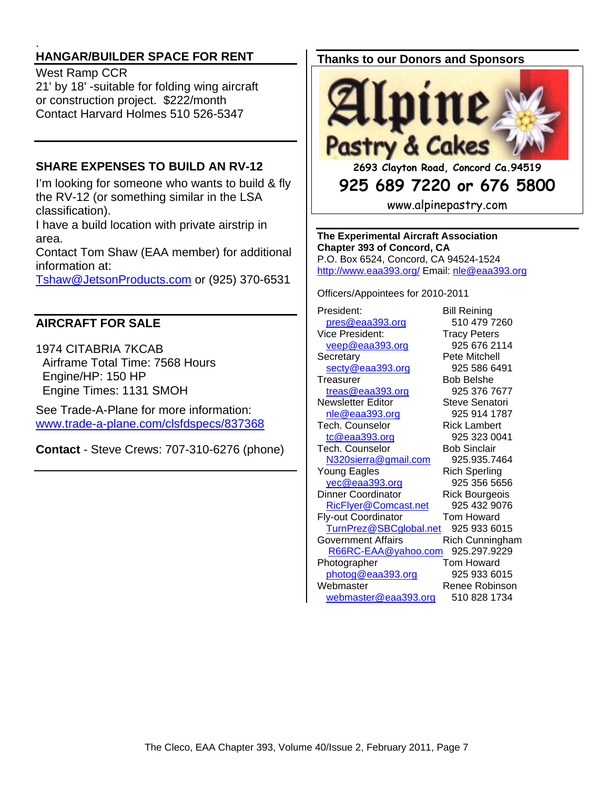#### . **HANGAR/BUILDER SPACE FOR RENT**

#### West Ramp CCR

21' by 18' -suitable for folding wing aircraft or construction project. \$222/month Contact Harvard Holmes 510 526-5347

## **SHARE EXPENSES TO BUILD AN RV-12**

I'm looking for someone who wants to build & fly the RV-12 (or something similar in the LSA classification).

I have a build location with private airstrip in area.

Contact Tom Shaw (EAA member) for additional information at:

Tshaw@JetsonProducts.com or (925) 370-6531

## **AIRCRAFT FOR SALE**

1974 CITABRIA 7KCAB Airframe Total Time: 7568 Hours Engine/HP: 150 HP Engine Times: 1131 SMOH

See Trade-A-Plane for more information: www.trade-a-plane.com/clsfdspecs/837368

**Contact** - Steve Crews: 707-310-6276 (phone)

## **Thanks to our Donors and Sponsors**



**925 689 7220 or 676 5800** 

www.alpinepastry.com

**The Experimental Aircraft Association Chapter 393 of Concord, CA**  P.O. Box 6524, Concord, CA 94524-1524 http://www.eaa393.org/ Email: nle@eaa393.org

Officers/Appointees for 2010-2011

President: Bill Reining pres@eaa393.org 510 479 7260 Vice President: Tracy Peters veep@eaa393.org 925 676 2114 Secretary Pete Mitchell secty@eaa393.org 925 586 6491 Treasurer Bob Belshe treas@eaa393.org 925 376 7677 Newsletter Editor **Steve Senatori** nle@eaa393.org 925 914 1787 Tech. Counselor Rick Lambert tc@eaa393.org 925 323 0041 Tech. Counselor Bob Sinclair N320sierra@gmail.com 925.935.7464 Young Eagles Rich Sperling yec@eaa393.org 925 356 5656 Dinner Coordinator Rick Bourgeois RicFlyer@Comcast.net 925 432 9076 Fly-out Coordinator Tom Howard TurnPrez@SBCglobal.net 925 933 6015 Government Affairs **Rich Cunningham**  R66RC-EAA@yahoo.com 925.297.9229 Photographer **Tom Howard** photog@eaa393.org 925 933 6015 Webmaster Renee Robinson webmaster@eaa393.org 510 828 1734